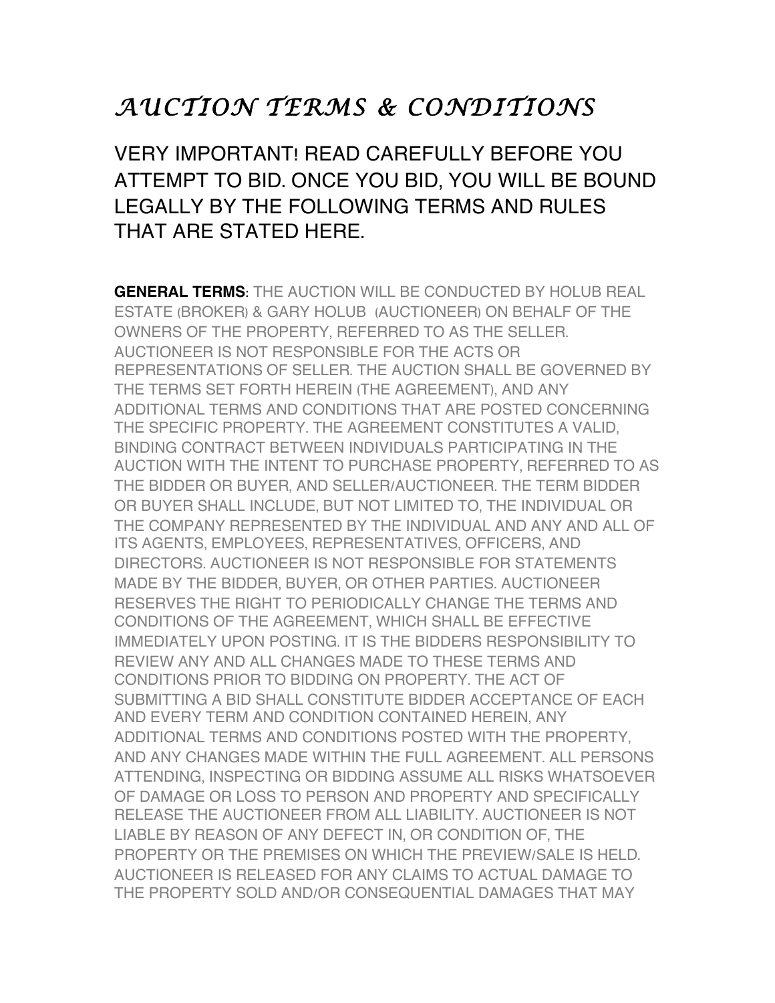## *AUCTION TERMS & CONDITIONS*

VERY IMPORTANT! READ CAREFULLY BEFORE YOU ATTEMPT TO BID. ONCE YOU BID, YOU WILL BE BOUND LEGALLY BY THE FOLLOWING TERMS AND RULES THAT ARE STATED HERE.

**GENERAL TERMS**: THE AUCTION WILL BE CONDUCTED BY HOLUB REAL ESTATE (BROKER) & GARY HOLUB (AUCTIONEER) ON BEHALF OF THE OWNERS OF THE PROPERTY, REFERRED TO AS THE SELLER. AUCTIONEER IS NOT RESPONSIBLE FOR THE ACTS OR REPRESENTATIONS OF SELLER. THE AUCTION SHALL BE GOVERNED BY THE TERMS SET FORTH HEREIN (THE AGREEMENT), AND ANY ADDITIONAL TERMS AND CONDITIONS THAT ARE POSTED CONCERNING THE SPECIFIC PROPERTY. THE AGREEMENT CONSTITUTES A VALID, BINDING CONTRACT BETWEEN INDIVIDUALS PARTICIPATING IN THE AUCTION WITH THE INTENT TO PURCHASE PROPERTY, REFERRED TO AS THE BIDDER OR BUYER, AND SELLER/AUCTIONEER. THE TERM BIDDER OR BUYER SHALL INCLUDE, BUT NOT LIMITED TO, THE INDIVIDUAL OR THE COMPANY REPRESENTED BY THE INDIVIDUAL AND ANY AND ALL OF ITS AGENTS, EMPLOYEES, REPRESENTATIVES, OFFICERS, AND DIRECTORS. AUCTIONEER IS NOT RESPONSIBLE FOR STATEMENTS MADE BY THE BIDDER, BUYER, OR OTHER PARTIES. AUCTIONEER RESERVES THE RIGHT TO PERIODICALLY CHANGE THE TERMS AND CONDITIONS OF THE AGREEMENT, WHICH SHALL BE EFFECTIVE IMMEDIATELY UPON POSTING. IT IS THE BIDDERS RESPONSIBILITY TO REVIEW ANY AND ALL CHANGES MADE TO THESE TERMS AND CONDITIONS PRIOR TO BIDDING ON PROPERTY. THE ACT OF SUBMITTING A BID SHALL CONSTITUTE BIDDER ACCEPTANCE OF EACH AND EVERY TERM AND CONDITION CONTAINED HEREIN, ANY ADDITIONAL TERMS AND CONDITIONS POSTED WITH THE PROPERTY, AND ANY CHANGES MADE WITHIN THE FULL AGREEMENT. ALL PERSONS ATTENDING, INSPECTING OR BIDDING ASSUME ALL RISKS WHATSOEVER OF DAMAGE OR LOSS TO PERSON AND PROPERTY AND SPECIFICALLY RELEASE THE AUCTIONEER FROM ALL LIABILITY. AUCTIONEER IS NOT LIABLE BY REASON OF ANY DEFECT IN, OR CONDITION OF, THE PROPERTY OR THE PREMISES ON WHICH THE PREVIEW/SALE IS HELD. AUCTIONEER IS RELEASED FOR ANY CLAIMS TO ACTUAL DAMAGE TO THE PROPERTY SOLD AND/OR CONSEQUENTIAL DAMAGES THAT MAY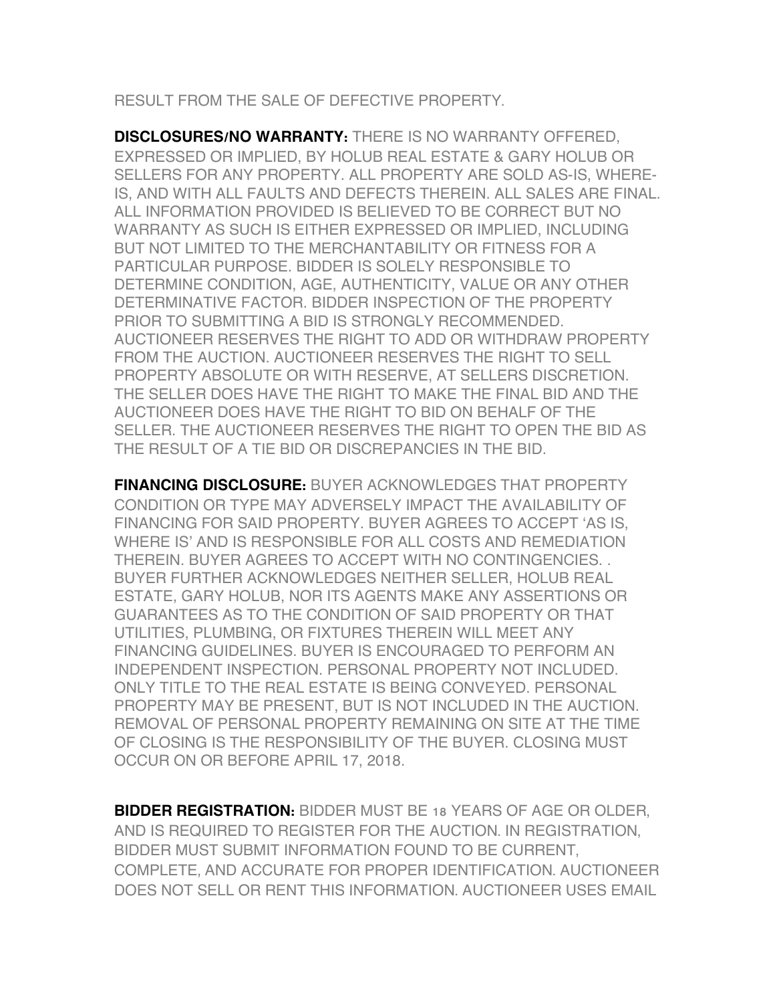RESULT FROM THE SALE OF DEFECTIVE PROPERTY.

**DISCLOSURES/NO WARRANTY:** THERE IS NO WARRANTY OFFERED, EXPRESSED OR IMPLIED, BY HOLUB REAL ESTATE & GARY HOLUB OR SELLERS FOR ANY PROPERTY. ALL PROPERTY ARE SOLD AS-IS, WHERE-IS, AND WITH ALL FAULTS AND DEFECTS THEREIN. ALL SALES ARE FINAL. ALL INFORMATION PROVIDED IS BELIEVED TO BE CORRECT BUT NO WARRANTY AS SUCH IS EITHER EXPRESSED OR IMPLIED, INCLUDING BUT NOT LIMITED TO THE MERCHANTABILITY OR FITNESS FOR A PARTICULAR PURPOSE. BIDDER IS SOLELY RESPONSIBLE TO DETERMINE CONDITION, AGE, AUTHENTICITY, VALUE OR ANY OTHER DETERMINATIVE FACTOR. BIDDER INSPECTION OF THE PROPERTY PRIOR TO SUBMITTING A BID IS STRONGLY RECOMMENDED. AUCTIONEER RESERVES THE RIGHT TO ADD OR WITHDRAW PROPERTY FROM THE AUCTION. AUCTIONEER RESERVES THE RIGHT TO SELL PROPERTY ABSOLUTE OR WITH RESERVE, AT SELLERS DISCRETION. THE SELLER DOES HAVE THE RIGHT TO MAKE THE FINAL BID AND THE AUCTIONEER DOES HAVE THE RIGHT TO BID ON BEHALF OF THE SELLER. THE AUCTIONEER RESERVES THE RIGHT TO OPEN THE BID AS THE RESULT OF A TIE BID OR DISCREPANCIES IN THE BID.

**FINANCING DISCLOSURE:** BUYER ACKNOWLEDGES THAT PROPERTY CONDITION OR TYPE MAY ADVERSELY IMPACT THE AVAILABILITY OF FINANCING FOR SAID PROPERTY. BUYER AGREES TO ACCEPT 'AS IS, WHERE IS' AND IS RESPONSIBLE FOR ALL COSTS AND REMEDIATION THEREIN. BUYER AGREES TO ACCEPT WITH NO CONTINGENCIES. . BUYER FURTHER ACKNOWLEDGES NEITHER SELLER, HOLUB REAL ESTATE, GARY HOLUB, NOR ITS AGENTS MAKE ANY ASSERTIONS OR GUARANTEES AS TO THE CONDITION OF SAID PROPERTY OR THAT UTILITIES, PLUMBING, OR FIXTURES THEREIN WILL MEET ANY FINANCING GUIDELINES. BUYER IS ENCOURAGED TO PERFORM AN INDEPENDENT INSPECTION. PERSONAL PROPERTY NOT INCLUDED. ONLY TITLE TO THE REAL ESTATE IS BEING CONVEYED. PERSONAL PROPERTY MAY BE PRESENT, BUT IS NOT INCLUDED IN THE AUCTION. REMOVAL OF PERSONAL PROPERTY REMAINING ON SITE AT THE TIME OF CLOSING IS THE RESPONSIBILITY OF THE BUYER. CLOSING MUST OCCUR ON OR BEFORE APRIL 17, 2018.

**BIDDER REGISTRATION:** BIDDER MUST BE 18 YEARS OF AGE OR OLDER, AND IS REQUIRED TO REGISTER FOR THE AUCTION. IN REGISTRATION, BIDDER MUST SUBMIT INFORMATION FOUND TO BE CURRENT, COMPLETE, AND ACCURATE FOR PROPER IDENTIFICATION. AUCTIONEER DOES NOT SELL OR RENT THIS INFORMATION. AUCTIONEER USES EMAIL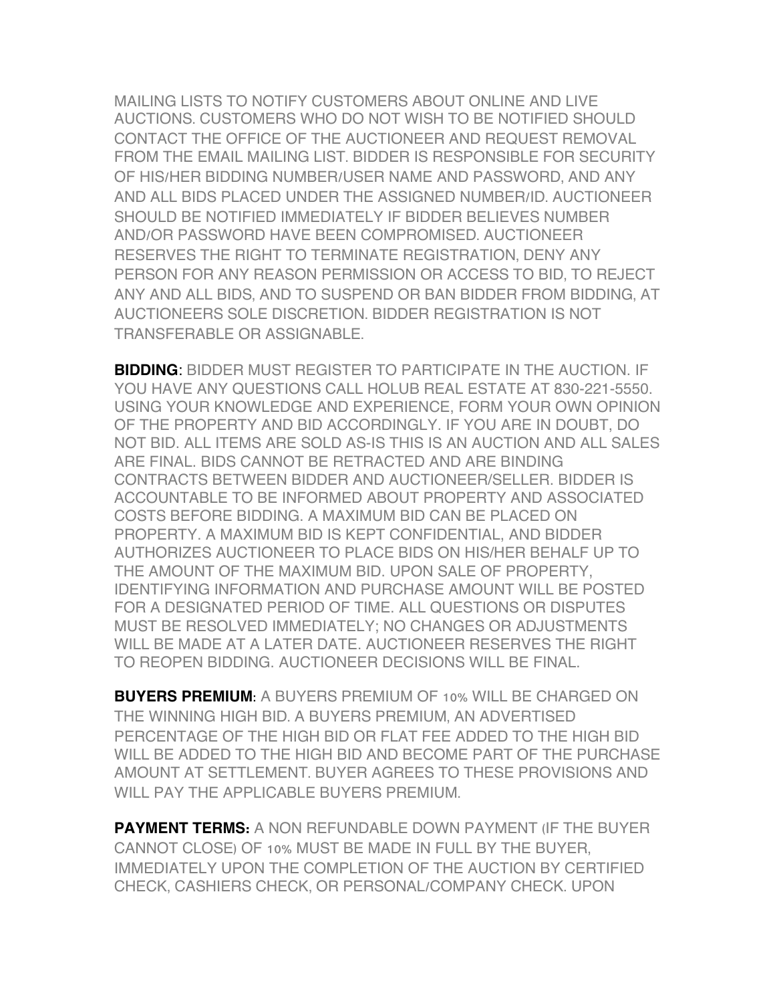MAILING LISTS TO NOTIFY CUSTOMERS ABOUT ONLINE AND LIVE AUCTIONS. CUSTOMERS WHO DO NOT WISH TO BE NOTIFIED SHOULD CONTACT THE OFFICE OF THE AUCTIONEER AND REQUEST REMOVAL FROM THE EMAIL MAILING LIST. BIDDER IS RESPONSIBLE FOR SECURITY OF HIS/HER BIDDING NUMBER/USER NAME AND PASSWORD, AND ANY AND ALL BIDS PLACED UNDER THE ASSIGNED NUMBER/ID. AUCTIONEER SHOULD BE NOTIFIED IMMEDIATELY IF BIDDER BELIEVES NUMBER AND/OR PASSWORD HAVE BEEN COMPROMISED. AUCTIONEER RESERVES THE RIGHT TO TERMINATE REGISTRATION, DENY ANY PERSON FOR ANY REASON PERMISSION OR ACCESS TO BID, TO REJECT ANY AND ALL BIDS, AND TO SUSPEND OR BAN BIDDER FROM BIDDING, AT AUCTIONEERS SOLE DISCRETION. BIDDER REGISTRATION IS NOT TRANSFERABLE OR ASSIGNABLE.

**BIDDING**: BIDDER MUST REGISTER TO PARTICIPATE IN THE AUCTION. IF YOU HAVE ANY QUESTIONS CALL HOLUB REAL ESTATE AT 830-221-5550. USING YOUR KNOWLEDGE AND EXPERIENCE, FORM YOUR OWN OPINION OF THE PROPERTY AND BID ACCORDINGLY. IF YOU ARE IN DOUBT, DO NOT BID. ALL ITEMS ARE SOLD AS-IS THIS IS AN AUCTION AND ALL SALES ARE FINAL. BIDS CANNOT BE RETRACTED AND ARE BINDING CONTRACTS BETWEEN BIDDER AND AUCTIONEER/SELLER. BIDDER IS ACCOUNTABLE TO BE INFORMED ABOUT PROPERTY AND ASSOCIATED COSTS BEFORE BIDDING. A MAXIMUM BID CAN BE PLACED ON PROPERTY. A MAXIMUM BID IS KEPT CONFIDENTIAL, AND BIDDER AUTHORIZES AUCTIONEER TO PLACE BIDS ON HIS/HER BEHALF UP TO THE AMOUNT OF THE MAXIMUM BID. UPON SALE OF PROPERTY, IDENTIFYING INFORMATION AND PURCHASE AMOUNT WILL BE POSTED FOR A DESIGNATED PERIOD OF TIME. ALL QUESTIONS OR DISPUTES MUST BE RESOLVED IMMEDIATELY; NO CHANGES OR ADJUSTMENTS WILL BE MADE AT A LATER DATE. AUCTIONEER RESERVES THE RIGHT TO REOPEN BIDDING. AUCTIONEER DECISIONS WILL BE FINAL.

**BUYERS PREMIUM**: A BUYERS PREMIUM OF 10% WILL BE CHARGED ON THE WINNING HIGH BID. A BUYERS PREMIUM, AN ADVERTISED PERCENTAGE OF THE HIGH BID OR FLAT FEE ADDED TO THE HIGH BID WILL BE ADDED TO THE HIGH BID AND BECOME PART OF THE PURCHASE AMOUNT AT SETTLEMENT. BUYER AGREES TO THESE PROVISIONS AND WILL PAY THE APPLICABLE BUYERS PREMIUM.

**PAYMENT TERMS:** A NON REFUNDABLE DOWN PAYMENT (IF THE BUYER CANNOT CLOSE) OF 10% MUST BE MADE IN FULL BY THE BUYER, IMMEDIATELY UPON THE COMPLETION OF THE AUCTION BY CERTIFIED CHECK, CASHIERS CHECK, OR PERSONAL/COMPANY CHECK. UPON